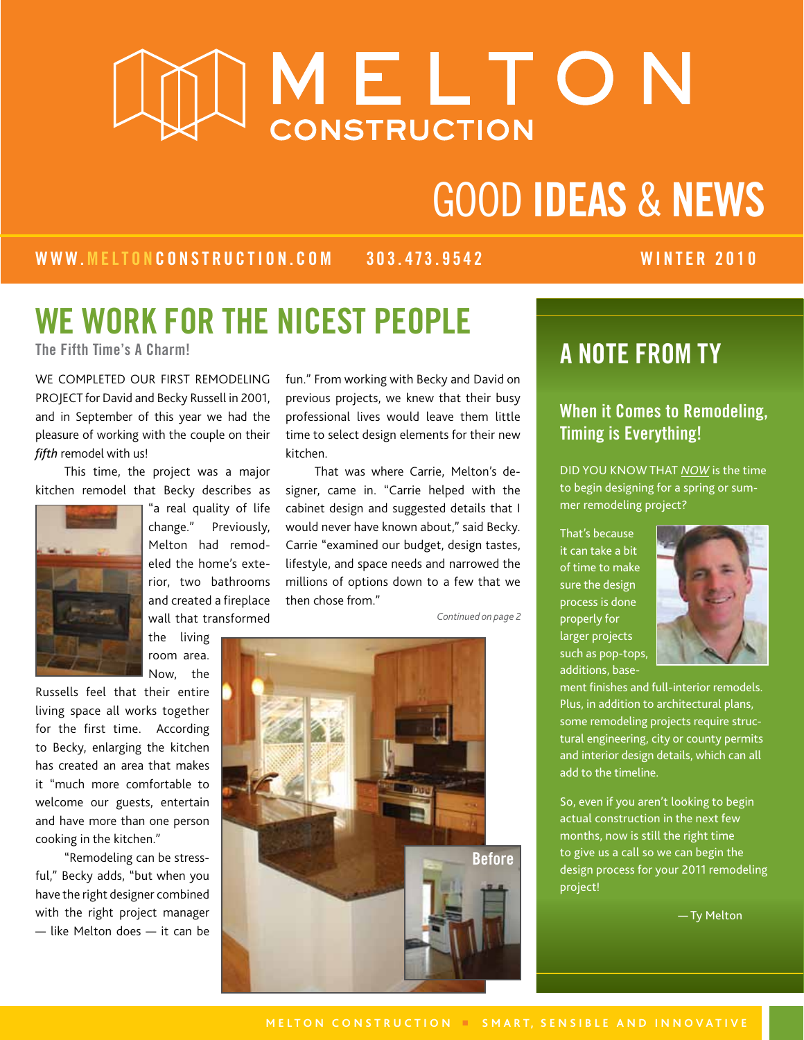# AMELTON

# Good Ideas & news

WWW.melton construction.com 303.473.9542 WINTER 2010

# WE WORK FOR THE NICEST PEOPLE

WE COMPLETED OUR FIRST REMODELING PROJECT for David and Becky Russell in 2001, and in September of this year we had the pleasure of working with the couple on their *fifth* remodel with us!

This time, the project was a major kitchen remodel that Becky describes as



"a real quality of life change." Previously, Melton had remodeled the home's exterior, two bathrooms and created a fireplace wall that transformed

the living room area. Now, the

Russells feel that their entire living space all works together for the first time. According to Becky, enlarging the kitchen has created an area that makes it "much more comfortable to welcome our guests, entertain and have more than one person cooking in the kitchen."

"Remodeling can be stressful," Becky adds, "but when you have the right designer combined with the right project manager — like Melton does — it can be

fun." From working with Becky and David on previous projects, we knew that their busy professional lives would leave them little time to select design elements for their new kitchen.

That was where Carrie, Melton's designer, came in. "Carrie helped with the cabinet design and suggested details that I would never have known about," said Becky. Carrie "examined our budget, design tastes, lifestyle, and space needs and narrowed the millions of options down to a few that we then chose from."

*Continued on page 2*



## The Fifth Time's A Charm!  $\blacksquare$  A NOTE FROM TY

#### When it Comes to Remodeling, Timing is Everything!

DID YOU KNOW THAT *NOW* is the time to begin designing for a spring or summer remodeling project?

That's because it can take a bit of time to make sure the design process is done properly for larger projects such as pop-tops, additions, base-



ment finishes and full-interior remodels. Plus, in addition to architectural plans, some remodeling projects require structural engineering, city or county permits and interior design details, which can all add to the timeline.

So, even if you aren't looking to begin actual construction in the next few months, now is still the right time to give us a call so we can begin the design process for your 2011 remodeling project!

— Ty Melton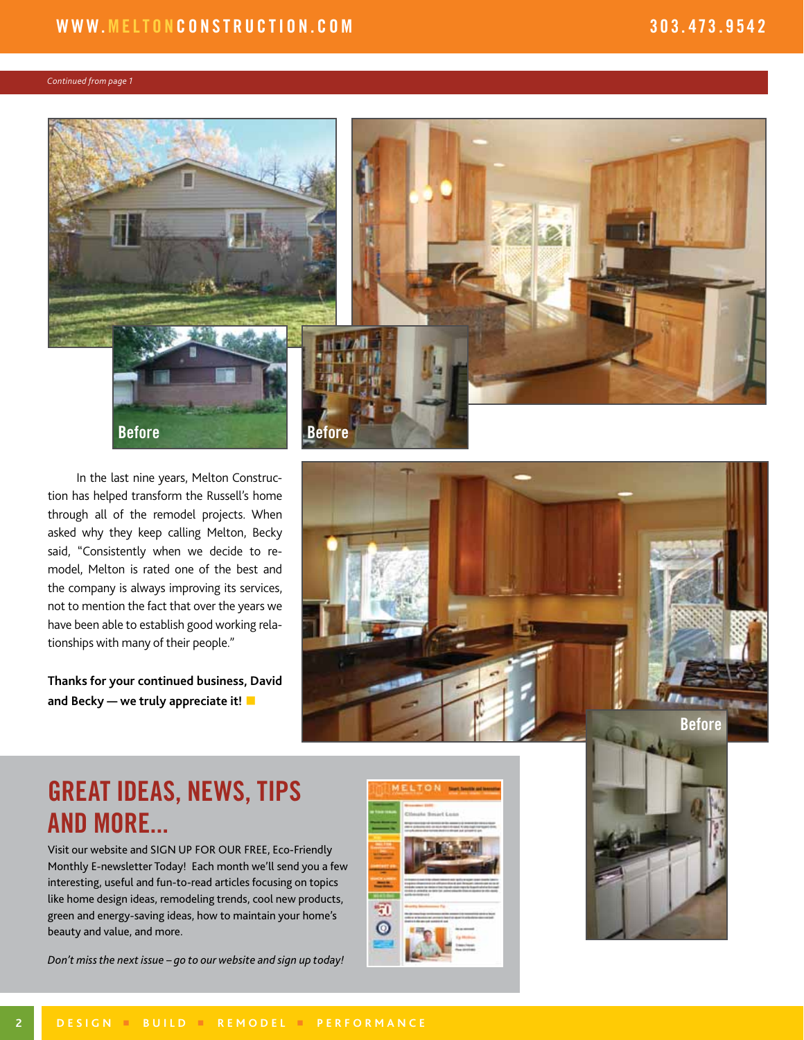#### *Continued from page 1*



In the last nine years, Melton Construction has helped transform the Russell's home through all of the remodel projects. When asked why they keep calling Melton, Becky said, "Consistently when we decide to remodel, Melton is rated one of the best and the company is always improving its services, not to mention the fact that over the years we have been able to establish good working relationships with many of their people."

**Thanks for your continued business, David and Becky — we truly appreciate it!** 



### GREAT IDEAS, NEWS, TIPS AND MORE...

Visit our website and SIGN UP FOR OUR FREE, Eco-Friendly Monthly E-newsletter Today! Each month we'll send you a few interesting, useful and fun-to-read articles focusing on topics like home design ideas, remodeling trends, cool new products, green and energy-saving ideas, how to maintain your home's beauty and value, and more.





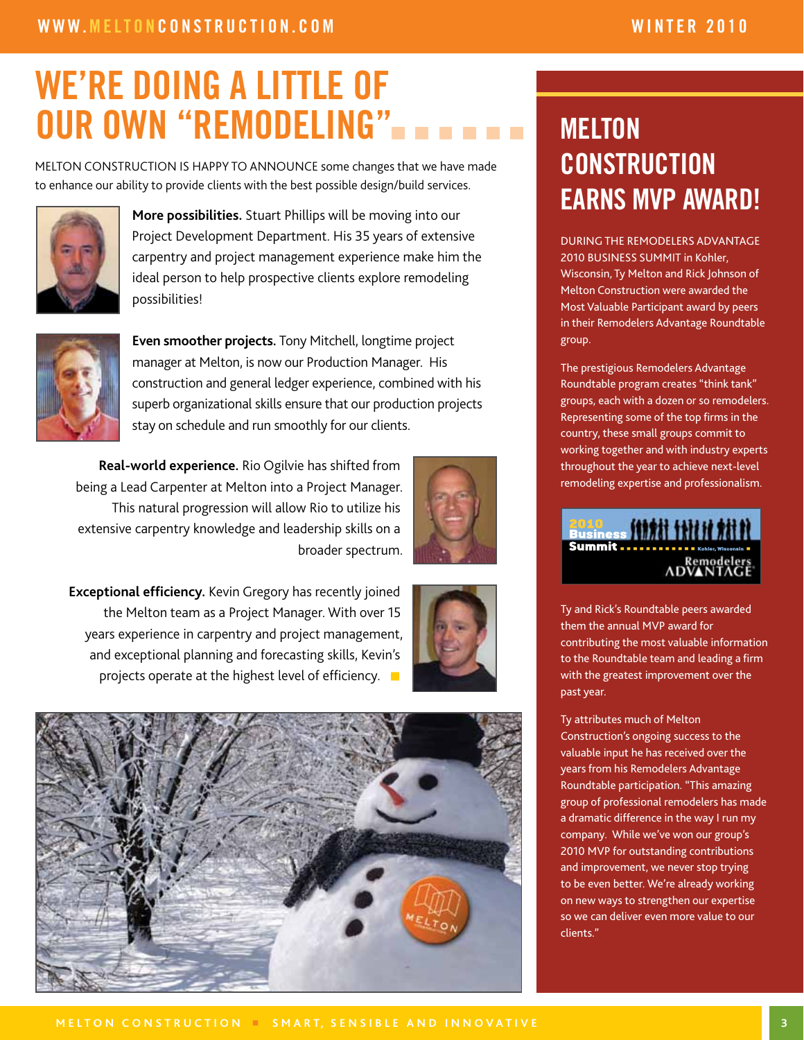# we're doing a little of OUR OWN "REMODELING"

MELTON CONSTRUCTION IS HAPPY TO ANNOUNCE some changes that we have made to enhance our ability to provide clients with the best possible design/build services.



**More possibilities.** Stuart Phillips will be moving into our Project Development Department. His 35 years of extensive carpentry and project management experience make him the ideal person to help prospective clients explore remodeling possibilities!



**Even smoother projects.** Tony Mitchell, longtime project manager at Melton, is now our Production Manager. His construction and general ledger experience, combined with his superb organizational skills ensure that our production projects stay on schedule and run smoothly for our clients.

**Real-world experience.** Rio Ogilvie has shifted from being a Lead Carpenter at Melton into a Project Manager. This natural progression will allow Rio to utilize his extensive carpentry knowledge and leadership skills on a broader spectrum.



**Exceptional efficiency.** Kevin Gregory has recently joined the Melton team as a Project Manager. With over 15 years experience in carpentry and project management, and exceptional planning and forecasting skills, Kevin's projects operate at the highest level of efficiency.  $\blacksquare$ 



# **MELTON CONSTRUCTION** EARNS MVP AWARD!

DURING THE REMODELERS ADVANTAGE 2010 BUSINESS SUMMIT in Kohler, Wisconsin, Ty Melton and Rick Johnson of Melton Construction were awarded the Most Valuable Participant award by peers in their Remodelers Advantage Roundtable group.

The prestigious Remodelers Advantage Roundtable program creates "think tank" groups, each with a dozen or so remodelers. Representing some of the top firms in the country, these small groups commit to working together and with industry experts throughout the year to achieve next-level remodeling expertise and professionalism.

### **2010**<br>Business **(11111 111111 111** ADVANTAG

Ty and Rick's Roundtable peers awarded them the annual MVP award for contributing the most valuable information to the Roundtable team and leading a firm with the greatest improvement over the past year.

Ty attributes much of Melton Construction's ongoing success to the valuable input he has received over the years from his Remodelers Advantage Roundtable participation. "This amazing group of professional remodelers has made a dramatic difference in the way I run my company. While we've won our group's 2010 MVP for outstanding contributions and improvement, we never stop trying to be even better. We're already working on new ways to strengthen our expertise so we can deliver even more value to our clients."